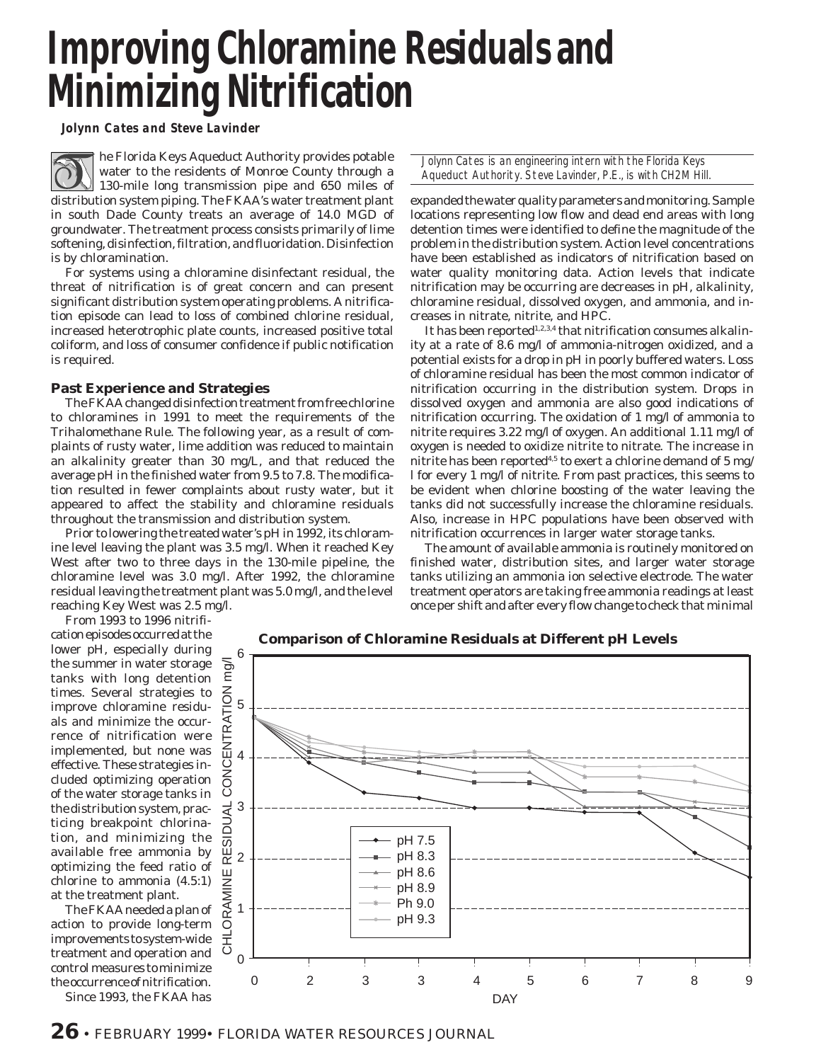# **Improving Chloramine Residuals and Minimizing Nitrification**

*Jolynn Cates and Steve Lavinder*

he Florida Keys Aqueduct Authority provides potable water to the residents of Monroe County through a 130-mile long transmission pipe and 650 miles of distribution system piping. The FKAA's water treatment plant in south Dade County treats an average of 14.0 MGD of groundwater. The treatment process consists primarily of lime softening, disinfection, filtration, and fluoridation. Disinfection is by chloramination.

For systems using a chloramine disinfectant residual, the threat of nitrification is of great concern and can present significant distribution system operating problems. A nitrification episode can lead to loss of combined chlorine residual, increased heterotrophic plate counts, increased positive total coliform, and loss of consumer confidence if public notification is required.

# **Past Experience and Strategies**

The FKAA changed disinfection treatment from free chlorine to chloramines in 1991 to meet the requirements of the Trihalomethane Rule. The following year, as a result of complaints of rusty water, lime addition was reduced to maintain an alkalinity greater than 30 mg/L, and that reduced the average pH in the finished water from 9.5 to 7.8. The modification resulted in fewer complaints about rusty water, but it appeared to affect the stability and chloramine residuals throughout the transmission and distribution system.

Prior to lowering the treated water's pH in 1992, its chloramine level leaving the plant was 3.5 mg/l. When it reached Key West after two to three days in the 130-mile pipeline, the chloramine level was 3.0 mg/l. After 1992, the chloramine residual leaving the treatment plant was 5.0 mg/l, and the level reaching Key West was 2.5 mg/l.

From 1993 to 1996 nitrifi-

cation episodes occurred at the lower pH, especially during the summer in water storage tanks with long detention times. Several strategies to improve chloramine residuals and minimize the occurrence of nitrification were implemented, but none was effective. These strategies included optimizing operation of the water storage tanks in the distribution system, practicing breakpoint chlorination, and minimizing the available free ammonia by optimizing the feed ratio of chlorine to ammonia (4.5:1) at the treatment plant.

The FKAA needed a plan of action to provide long-term improvements to system-wide treatment and operation and control measures to minimize the occurrence of nitrification.

Since 1993, the FKAA has

Jolynn Cates is an engineering intern with the Florida Keys Aqueduct Authority. Steve Lavinder, P.E., is with CH2M Hill.

expanded the water quality parameters and monitoring. Sample locations representing low flow and dead end areas with long detention times were identified to define the magnitude of the problem in the distribution system. Action level concentrations have been established as indicators of nitrification based on water quality monitoring data. Action levels that indicate nitrification may be occurring are decreases in pH, alkalinity, chloramine residual, dissolved oxygen, and ammonia, and increases in nitrate, nitrite, and HPC.

It has been reported<sup>1,2,3,4</sup> that nitrification consumes alkalinity at a rate of 8.6 mg/l of ammonia-nitrogen oxidized, and a potential exists for a drop in pH in poorly buffered waters. Loss of chloramine residual has been the most common indicator of nitrification occurring in the distribution system. Drops in dissolved oxygen and ammonia are also good indications of nitrification occurring. The oxidation of 1 mg/l of ammonia to nitrite requires 3.22 mg/l of oxygen. An additional 1.11 mg/l of oxygen is needed to oxidize nitrite to nitrate. The increase in nitrite has been reported<sup>4,5</sup> to exert a chlorine demand of 5 mg/ l for every 1 mg/l of nitrite. From past practices, this seems to be evident when chlorine boosting of the water leaving the tanks did not successfully increase the chloramine residuals. Also, increase in HPC populations have been observed with nitrification occurrences in larger water storage tanks.

The amount of available ammonia is routinely monitored on finished water, distribution sites, and larger water storage tanks utilizing an ammonia ion selective electrode. The water treatment operators are taking free ammonia readings at least once per shift and after every flow change to check that minimal

**Comparison of Chloramine Residuals at Different pH Levels**

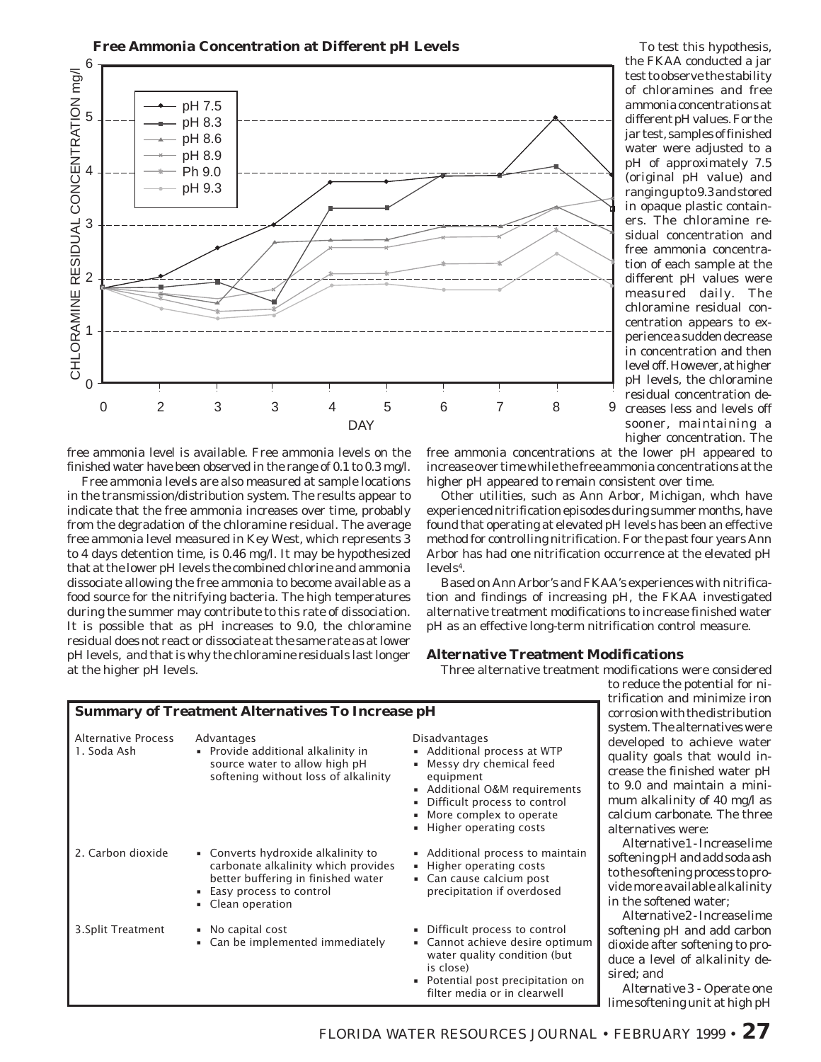

free ammonia level is available. Free ammonia levels on the finished water have been observed in the range of 0.1 to 0.3 mg/l.

Free ammonia levels are also measured at sample locations in the transmission/distribution system. The results appear to indicate that the free ammonia increases over time, probably from the degradation of the chloramine residual. The average free ammonia level measured in Key West, which represents 3 to 4 days detention time, is 0.46 mg/l. It may be hypothesized that at the lower pH levels the combined chlorine and ammonia dissociate allowing the free ammonia to become available as a food source for the nitrifying bacteria. The high temperatures during the summer may contribute to this rate of dissociation. It is possible that as pH increases to 9.0, the chloramine residual does not react or dissociate at the same rate as at lower pH levels, and that is why the chloramine residuals last longer at the higher pH levels.

test to observe the stability of chloramines and free ammonia concentrations at different pH values. For the jar test, samples of finished water were adjusted to a pH of approximately 7.5 (original pH value) and ranging up to 9.3 and stored in opaque plastic containers. The chloramine residual concentration and free ammonia concentration of each sample at the different pH values were measured daily. The chloramine residual concentration appears to experience a sudden decrease in concentration and then level off. However, at higher pH levels, the chloramine residual concentration decreases less and levels off sooner, maintaining a higher concentration. The

To test this hypothesis, the FKAA conducted a jar

free ammonia concentrations at the lower pH appeared to increase over time while the free ammonia concentrations at the higher pH appeared to remain consistent over time.

Other utilities, such as Ann Arbor, Michigan, whch have experienced nitrification episodes during summer months, have found that operating at elevated pH levels has been an effective method for controlling nitrification. For the past four years Ann Arbor has had one nitrification occurrence at the elevated pH  $levels<sup>4</sup>$ .

Based on Ann Arbor's and FKAA's experiences with nitrification and findings of increasing pH, the FKAA investigated alternative treatment modifications to increase finished water pH as an effective long-term nitrification control measure.

#### **Alternative Treatment Modifications**

Three alternative treatment modifications were considered

|                                    |                                                                                                                                                                 |                                                                                                                                                                                                               | trif                                                                    |
|------------------------------------|-----------------------------------------------------------------------------------------------------------------------------------------------------------------|---------------------------------------------------------------------------------------------------------------------------------------------------------------------------------------------------------------|-------------------------------------------------------------------------|
|                                    | <b>Summary of Treatment Alternatives To Increase pH</b>                                                                                                         |                                                                                                                                                                                                               | cor:                                                                    |
| Alternative Process<br>1. Soda Ash | Advantages<br>• Provide additional alkalinity in<br>source water to allow high pH<br>softening without loss of alkalinity                                       | Disadvantages<br>• Additional process at WTP<br>Messy dry chemical feed<br>٠<br>equipment<br>Additional O&M requirements<br>Difficult process to control<br>More complex to operate<br>Higher operating costs | <b>SVS</b><br>dev<br>qua<br><sub>cre</sub><br>to :<br>mu<br>cal<br>alto |
| 2. Carbon dioxide                  | • Converts hydroxide alkalinity to<br>carbonate alkalinity which provides<br>better buffering in finished water<br>Easy process to control<br>• Clean operation | • Additional process to maintain<br>Higher operating costs<br>٠<br>Can cause calcium post<br>precipitation if overdosed                                                                                       | soft<br>to t<br>vid<br>in t                                             |
| 3. Split Treatment                 | • No capital cost<br>• Can be implemented immediately                                                                                                           | Difficult process to control<br>٠<br>Cannot achieve desire optimum<br>٠<br>water quality condition (but)<br>is close)<br>Potential post precipitation on<br>٠<br>filter media or in clearwell                 | soft<br>dio:<br>duo<br>sire                                             |

to reduce the potential for nification and minimize iron corrosion with the distribution tem. The alternatives were eloped to achieve water ality goals that would inase the finished water pH 9.0 and maintain a mini $m$  alkalinity of 40 mg/l as cium carbonate. The three ernatives were:

*Alternative 1 -* Increase lime tening pH and add soda ash he softening process to proe more available alkalinity he softened water;

*Alternative 2 -* Increase lime tening pH and add carbon xide after softening to proe a level of alkalinity deed; and

*Alternative 3 -* Operate one lime softening unit at high pH